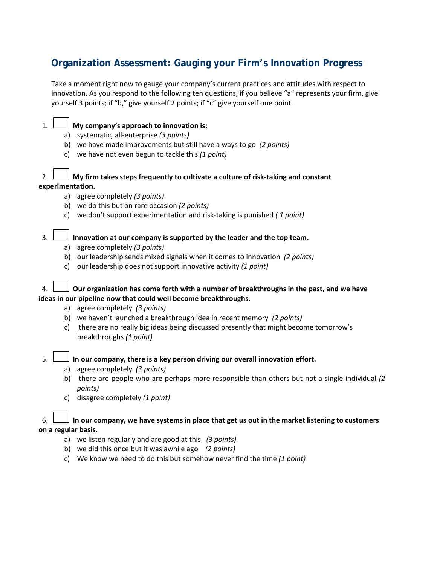# **Organization Assessment: Gauging your Firm's Innovation Progress**

Take a moment right now to gauge your company's current practices and attitudes with respect to innovation. As you respond to the following ten questions, if you believe "a" represents your firm, give yourself 3 points; if "b," give yourself 2 points; if "c" give yourself one point.

## 1. **My company's approach to innovation is:**

- a) systematic, all‐enterprise *(3 points)*
- b) we have made improvements but still have a ways to go *(2 points)*
- c) we have not even begun to tackle this *(1 point)*

## 2. **My firm takes steps frequently to cultivate a culture of risk‐taking and constant experimentation.**

- a) agree completely *(3 points)*
- b) we do this but on rare occasion *(2 points)*
- c) we don't support experimentation and risk‐taking is punished *( 1 point)*

## 3. **Innovation at our company is supported by the leader and the top team.**

- a) agree completely *(3 points)*
- b) our leadership sends mixed signals when it comes to innovation *(2 points)*
- c) our leadership does not support innovative activity *(1 point)*

## 4. **Our organization has come forth with a number of breakthroughs in the past, and we have ideas in our pipeline now that could well become breakthroughs.**

- a) agree completely *(3 points)*
- b) we haven't launched a breakthrough idea in recent memory *(2 points)*
- c) there are no really big ideas being discussed presently that might become tomorrow's breakthroughs *(1 point)*

#### 5. **In our company, there is a key person driving our overall innovation effort.**

- a) agree completely *(3 points)*
- b) there are people who are perhaps more responsible than others but not a single individual *(2 points)*
- c) disagree completely *(1 point)*

#### 6.  $\Box$  In our company, we have systems in place that get us out in the market listening to customers **on a regular basis.**

- a) we listen regularly and are good at this *(3 points)*
- b) we did this once but it was awhile ago *(2 points)*
- c) We know we need to do this but somehow never find the time *(1 point)*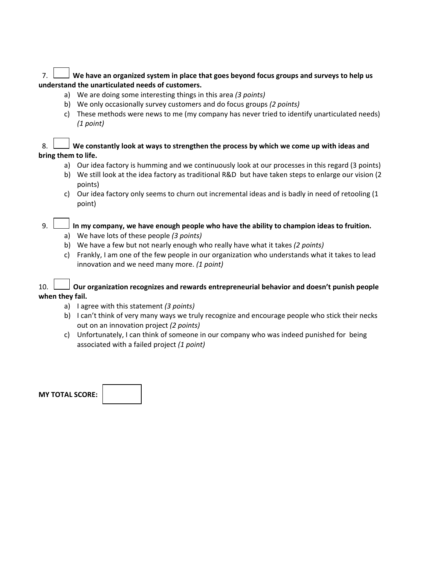## 7. **We have an organized system in place that goes beyond focus groups and surveys to help us understand the unarticulated needs of customers.**

- a) We are doing some interesting things in this area *(3 points)*
- b) We only occasionally survey customers and do focus groups *(2 points)*
- c) These methods were news to me (my company has never tried to identify unarticulated needs) *(1 point)*

## 8. **We constantly look at ways to strengthen the process by which we come up with ideas and bring them to life.**

- a) Our idea factory is humming and we continuously look at our processes in this regard (3 points)
- b) We still look at the idea factory as traditional R&D but have taken steps to enlarge our vision (2 points)
- c) Our idea factory only seems to churn out incremental ideas and is badly in need of retooling (1 point)

## 9. **In my company, we have enough people who have the ability to champion ideas to fruition.**

- a) We have lots of these people *(3 points)*
- b) We have a few but not nearly enough who really have what it takes *(2 points)*
- c) Frankly, I am one of the few people in our organization who understands what it takes to lead innovation and we need many more. *(1 point)*

## 10. **Our organization recognizes and rewards entrepreneurial behavior and doesn't punish people when they fail.**

- a) I agree with this statement *(3 points)*
- b) I can't think of very many ways we truly recognize and encourage people who stick their necks out on an innovation project *(2 points)*
- c) Unfortunately, I can think of someone in our company who was indeed punished for being associated with a failed project *(1 point)*

| <b>MY TOTAL SCORE:</b> |  |
|------------------------|--|
|------------------------|--|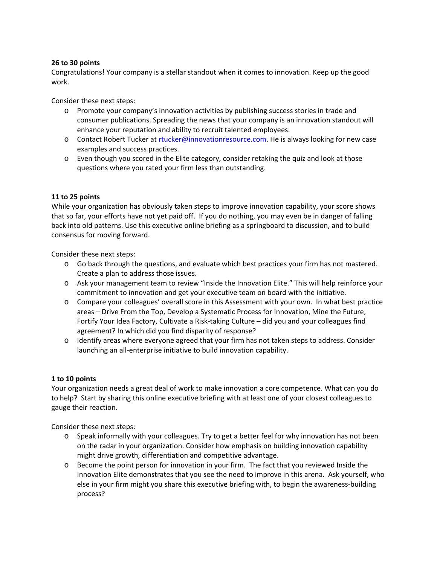#### **26 to 30 points**

Congratulations! Your company is a stellar standout when it comes to innovation. Keep up the good work.

Consider these next steps:

- o Promote your company's innovation activities by publishing success stories in trade and consumer publications. Spreading the news that your company is an innovation standout will enhance your reputation and ability to recruit talented employees.
- o Contact Robert Tucker at rtucker@innovationresource.com. He is always looking for new case examples and success practices.
- o Even though you scored in the Elite category, consider retaking the quiz and look at those questions where you rated your firm less than outstanding.

#### **11 to 25 points**

While your organization has obviously taken steps to improve innovation capability, your score shows that so far, your efforts have not yet paid off. If you do nothing, you may even be in danger of falling back into old patterns. Use this executive online briefing as a springboard to discussion, and to build consensus for moving forward.

Consider these next steps:

- o Go back through the questions, and evaluate which best practices your firm has not mastered. Create a plan to address those issues.
- o Ask your management team to review "Inside the Innovation Elite." This will help reinforce your commitment to innovation and get your executive team on board with the initiative.
- o Compare your colleagues' overall score in this Assessment with your own. In what best practice areas – Drive From the Top, Develop a Systematic Process for Innovation, Mine the Future, Fortify Your Idea Factory, Cultivate a Risk‐taking Culture – did you and your colleagues find agreement? In which did you find disparity of response?
- o Identify areas where everyone agreed that your firm has not taken steps to address. Consider launching an all‐enterprise initiative to build innovation capability.

#### **1 to 10 points**

Your organization needs a great deal of work to make innovation a core competence. What can you do to help? Start by sharing this online executive briefing with at least one of your closest colleagues to gauge their reaction.

Consider these next steps:

- o Speak informally with your colleagues. Try to get a better feel for why innovation has not been on the radar in your organization. Consider how emphasis on building innovation capability might drive growth, differentiation and competitive advantage.
- o Become the point person for innovation in your firm. The fact that you reviewed Inside the Innovation Elite demonstrates that you see the need to improve in this arena. Ask yourself, who else in your firm might you share this executive briefing with, to begin the awareness‐building process?